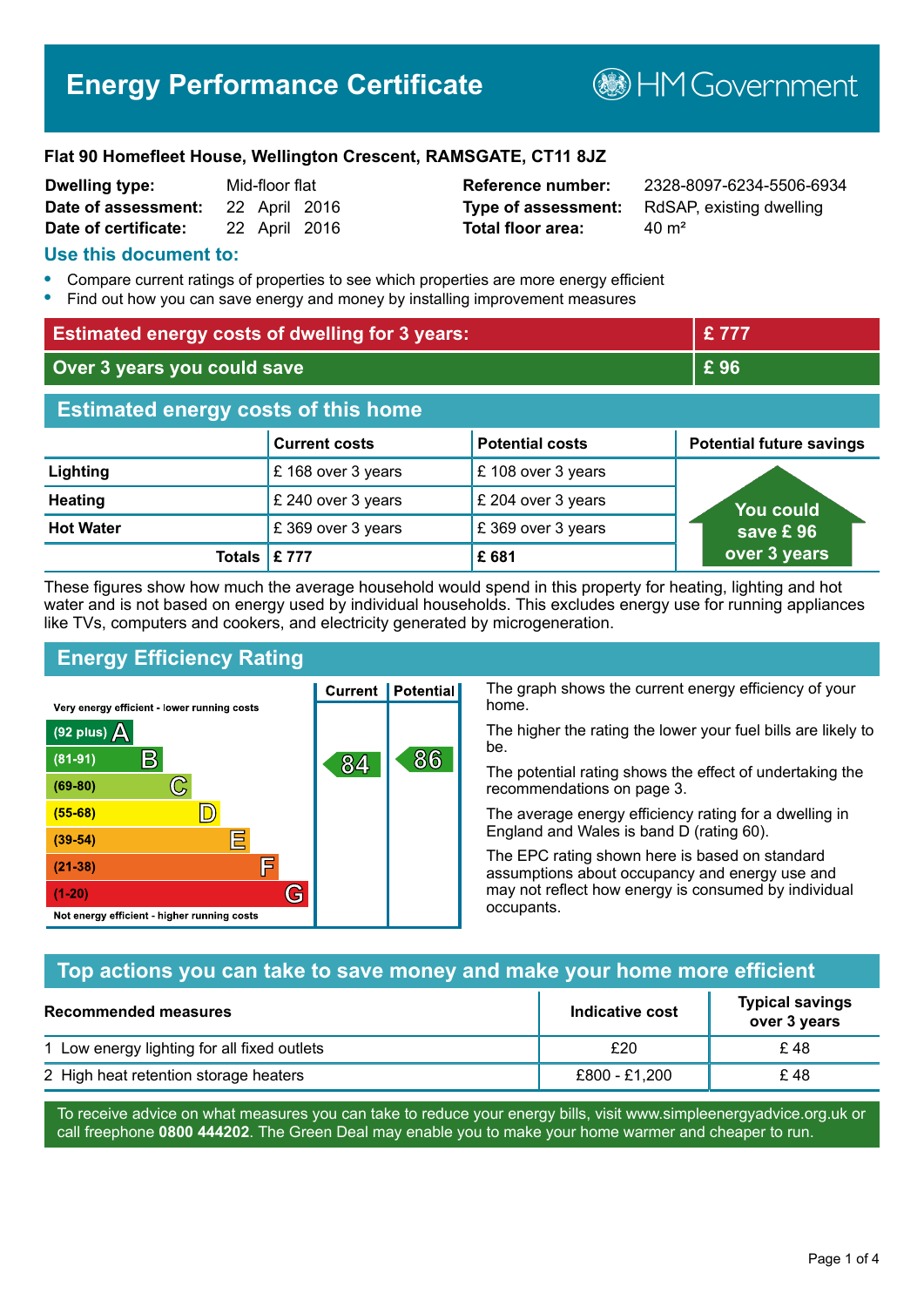**BHM Government** 

#### **Flat 90 Homefleet House, Wellington Crescent, RAMSGATE, CT11 8JZ**

| <b>Dwelling type:</b> | Mid-floor flat |  |
|-----------------------|----------------|--|
| Date of assessment:   | 22 April 2016  |  |
| Date of certificate:  | 22 April 2016  |  |

# **Total floor area:** 40 m<sup>2</sup>

**Reference number:** 2328-8097-6234-5506-6934 **Type of assessment:** RdSAP, existing dwelling

#### **Use this document to:**

- **•** Compare current ratings of properties to see which properties are more energy efficient
- **•** Find out how you can save energy and money by installing improvement measures

| <b>Estimated energy costs of dwelling for 3 years:</b> |                      | £777                   |                                 |
|--------------------------------------------------------|----------------------|------------------------|---------------------------------|
| Over 3 years you could save                            |                      | £96                    |                                 |
| <b>Estimated energy costs of this home</b>             |                      |                        |                                 |
|                                                        | <b>Current costs</b> | <b>Potential costs</b> | <b>Potential future savings</b> |
| Lighting                                               | £168 over 3 years    | £108 over 3 years      |                                 |
| <b>Heating</b>                                         | £ 240 over 3 years   | £ 204 over 3 years     | You could                       |
| <b>Hot Water</b>                                       | £369 over 3 years    | £369 over 3 years      | save £96                        |
| <b>Totals</b>                                          | £ 777                | £681                   | over 3 years                    |

These figures show how much the average household would spend in this property for heating, lighting and hot water and is not based on energy used by individual households. This excludes energy use for running appliances like TVs, computers and cookers, and electricity generated by microgeneration.

**Current | Potential** 

84

# **Energy Efficiency Rating**

 $\mathbb{C}$ 

 $\mathbb{D}$ 

E

肩

G

Very energy efficient - lower running costs

 $\mathsf{R}% _{T}$ 

Not energy efficient - higher running costs

 $(92$  plus)

 $(81 - 91)$ 

 $(69 - 80)$ 

 $(55-68)$ 

 $(39 - 54)$ 

 $(21-38)$ 

 $(1-20)$ 

- 70

The graph shows the current energy efficiency of your home.

The higher the rating the lower your fuel bills are likely to be.

The potential rating shows the effect of undertaking the recommendations on page 3.

The average energy efficiency rating for a dwelling in England and Wales is band D (rating 60).

The EPC rating shown here is based on standard assumptions about occupancy and energy use and may not reflect how energy is consumed by individual occupants.

# **Top actions you can take to save money and make your home more efficient**

86

| Recommended measures                        | Indicative cost | <b>Typical savings</b><br>over 3 years |
|---------------------------------------------|-----------------|----------------------------------------|
| 1 Low energy lighting for all fixed outlets | £20             | £48                                    |
| 2 High heat retention storage heaters       | £800 - £1.200   | £48                                    |

To receive advice on what measures you can take to reduce your energy bills, visit www.simpleenergyadvice.org.uk or call freephone **0800 444202**. The Green Deal may enable you to make your home warmer and cheaper to run.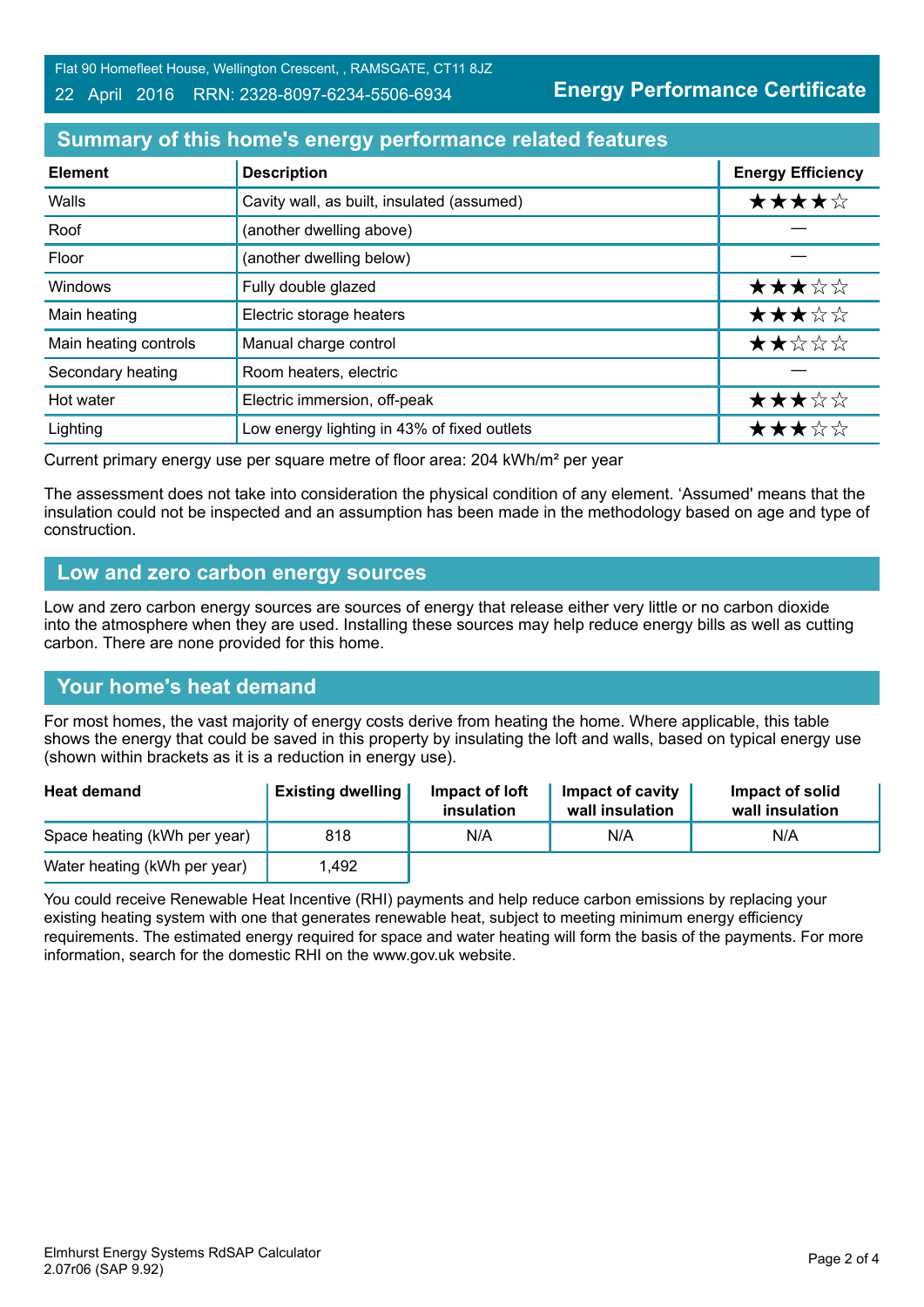22 April 2016 RRN: 2328-8097-6234-5506-6934

# **Energy Performance Certificate**

# **Summary of this home's energy performance related features**

| <b>Element</b>        | <b>Description</b>                          | <b>Energy Efficiency</b> |
|-----------------------|---------------------------------------------|--------------------------|
| Walls                 | Cavity wall, as built, insulated (assumed)  | ★★★★☆                    |
| Roof                  | (another dwelling above)                    |                          |
| Floor                 | (another dwelling below)                    |                          |
| Windows               | Fully double glazed                         | ★★★☆☆                    |
| Main heating          | Electric storage heaters                    | ★★★☆☆                    |
| Main heating controls | Manual charge control                       | ★★☆☆☆                    |
| Secondary heating     | Room heaters, electric                      |                          |
| Hot water             | Electric immersion, off-peak                | ★★★☆☆                    |
| Lighting              | Low energy lighting in 43% of fixed outlets | ★★★☆☆                    |

Current primary energy use per square metre of floor area: 204 kWh/m² per year

The assessment does not take into consideration the physical condition of any element. 'Assumed' means that the insulation could not be inspected and an assumption has been made in the methodology based on age and type of construction.

#### **Low and zero carbon energy sources**

Low and zero carbon energy sources are sources of energy that release either very little or no carbon dioxide into the atmosphere when they are used. Installing these sources may help reduce energy bills as well as cutting carbon. There are none provided for this home.

# **Your home's heat demand**

For most homes, the vast majority of energy costs derive from heating the home. Where applicable, this table shows the energy that could be saved in this property by insulating the loft and walls, based on typical energy use (shown within brackets as it is a reduction in energy use).

| <b>Heat demand</b>           | <b>Existing dwelling</b> | Impact of loft<br>insulation | Impact of cavity<br>wall insulation | Impact of solid<br>wall insulation |
|------------------------------|--------------------------|------------------------------|-------------------------------------|------------------------------------|
| Space heating (kWh per year) | 818                      | N/A                          | N/A                                 | N/A                                |
| Water heating (kWh per year) | .492                     |                              |                                     |                                    |

You could receive Renewable Heat Incentive (RHI) payments and help reduce carbon emissions by replacing your existing heating system with one that generates renewable heat, subject to meeting minimum energy efficiency requirements. The estimated energy required for space and water heating will form the basis of the payments. For more information, search for the domestic RHI on the www.gov.uk website.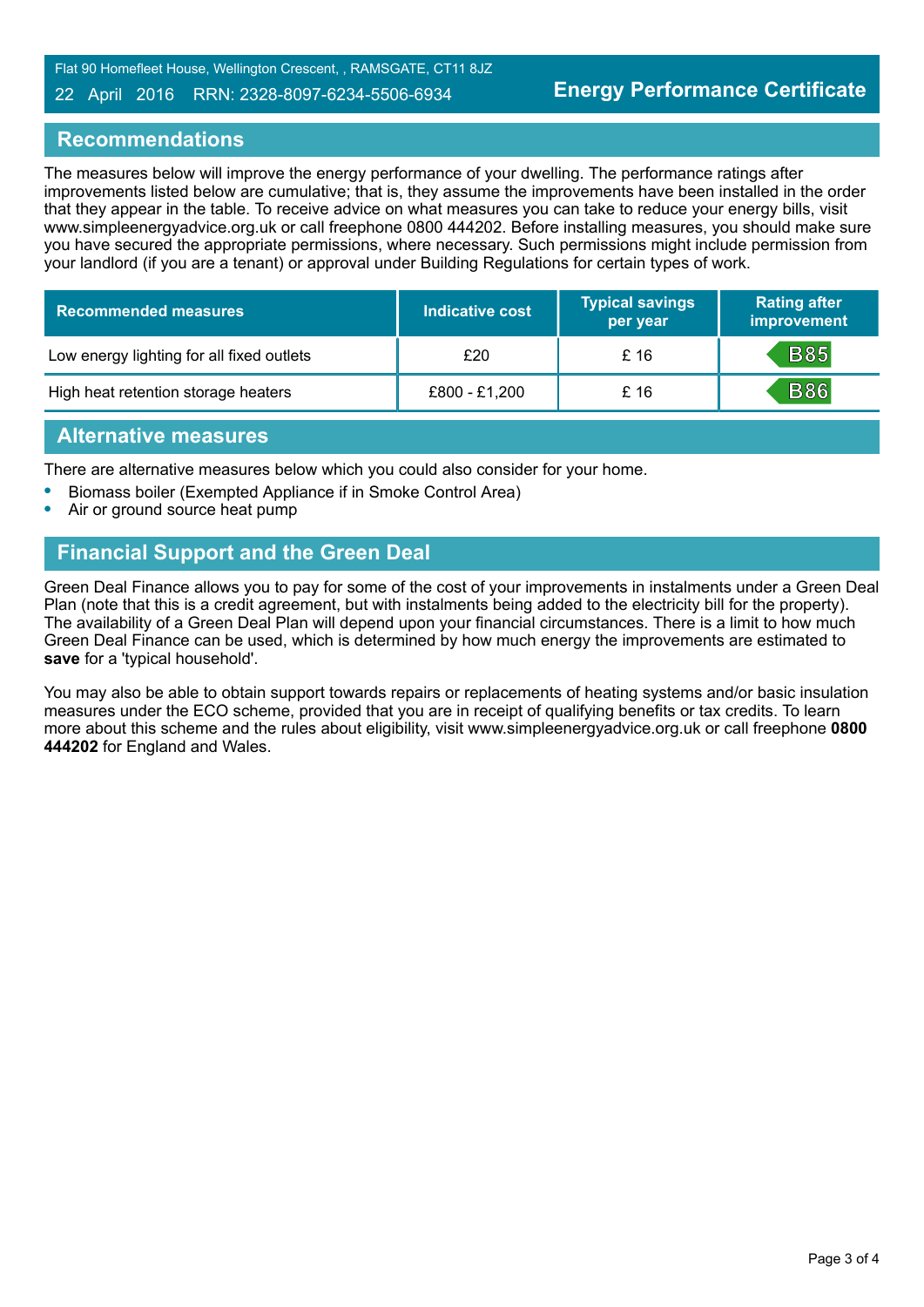#### 22 April 2016 RRN: 2328-8097-6234-5506-6934

#### **Recommendations**

The measures below will improve the energy performance of your dwelling. The performance ratings after improvements listed below are cumulative; that is, they assume the improvements have been installed in the order that they appear in the table. To receive advice on what measures you can take to reduce your energy bills, visit www.simpleenergyadvice.org.uk or call freephone 0800 444202. Before installing measures, you should make sure you have secured the appropriate permissions, where necessary. Such permissions might include permission from your landlord (if you are a tenant) or approval under Building Regulations for certain types of work.

| <b>Recommended measures</b>               | <b>Indicative cost</b> | <b>Typical savings</b><br>per year | <b>Rating after</b><br>improvement |
|-------------------------------------------|------------------------|------------------------------------|------------------------------------|
| Low energy lighting for all fixed outlets | £20                    | £ 16                               | <b>B85</b>                         |
| High heat retention storage heaters       | £800 - £1,200          | £ 16                               | <b>B86</b>                         |

#### **Alternative measures**

There are alternative measures below which you could also consider for your home.

- **•** Biomass boiler (Exempted Appliance if in Smoke Control Area)
- **•** Air or ground source heat pump

### **Financial Support and the Green Deal**

Green Deal Finance allows you to pay for some of the cost of your improvements in instalments under a Green Deal Plan (note that this is a credit agreement, but with instalments being added to the electricity bill for the property). The availability of a Green Deal Plan will depend upon your financial circumstances. There is a limit to how much Green Deal Finance can be used, which is determined by how much energy the improvements are estimated to **save** for a 'typical household'.

You may also be able to obtain support towards repairs or replacements of heating systems and/or basic insulation measures under the ECO scheme, provided that you are in receipt of qualifying benefits or tax credits. To learn more about this scheme and the rules about eligibility, visit www.simpleenergyadvice.org.uk or call freephone **0800 444202** for England and Wales.